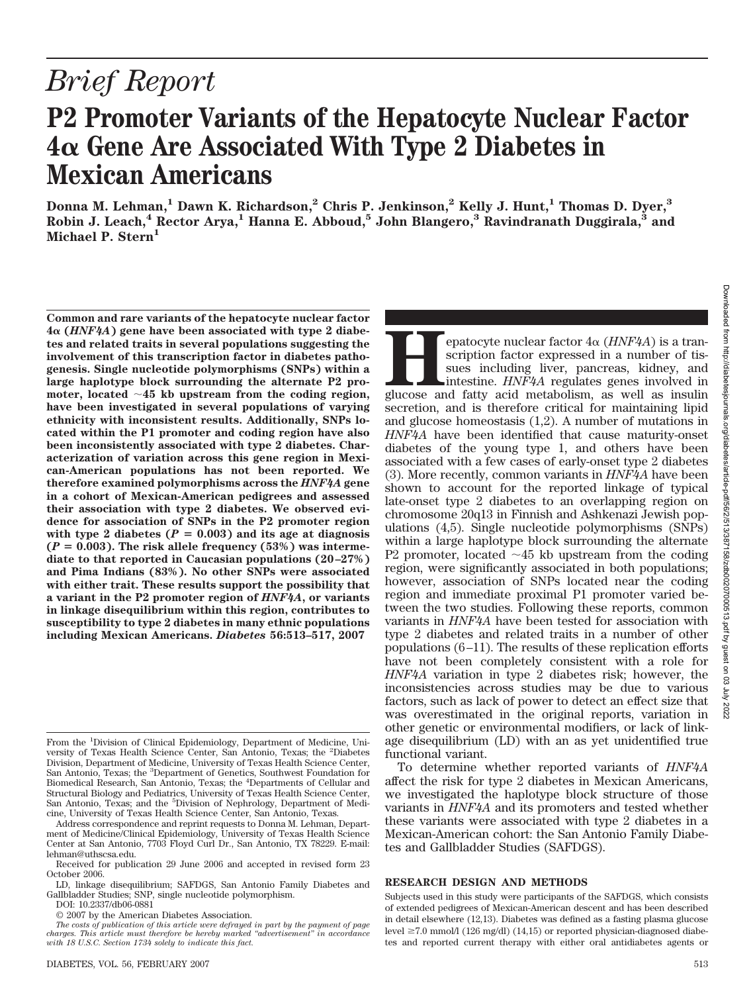# *Brief Report*

## **P2 Promoter Variants of the Hepatocyte Nuclear Factor 4 Gene Are Associated With Type 2 Diabetes in Mexican Americans**

**Donna M. Lehman,1 Dawn K. Richardson,2 Chris P. Jenkinson,2 Kelly J. Hunt,1 Thomas D. Dyer,3 Robin J. Leach,4 Rector Arya,1 Hanna E. Abboud,5 John Blangero,3 Ravindranath Duggirala,3 and Michael P. Stern1**

**Common and rare variants of the hepatocyte nuclear factor 4 (***HNF4A***) gene have been associated with type 2 diabetes and related traits in several populations suggesting the involvement of this transcription factor in diabetes pathogenesis. Single nucleotide polymorphisms (SNPs) within a large haplotype block surrounding the alternate P2 promoter, located 45 kb upstream from the coding region, have been investigated in several populations of varying ethnicity with inconsistent results. Additionally, SNPs located within the P1 promoter and coding region have also been inconsistently associated with type 2 diabetes. Characterization of variation across this gene region in Mexican-American populations has not been reported. We therefore examined polymorphisms across the** *HNF4A* **gene in a cohort of Mexican-American pedigrees and assessed their association with type 2 diabetes. We observed evidence for association of SNPs in the P2 promoter region** with type 2 diabetes  $(P = 0.003)$  and its age at diagnosis  $(P = 0.003)$ . The risk allele frequency  $(53%)$  was interme**diate to that reported in Caucasian populations (20 –27%) and Pima Indians (83%). No other SNPs were associated with either trait. These results support the possibility that a variant in the P2 promoter region of** *HNF4A***, or variants in linkage disequilibrium within this region, contributes to susceptibility to type 2 diabetes in many ethnic populations including Mexican Americans.** *Diabetes* **56:513–517, 2007**

DOI: 10.2337/db06-0881

Downloaded from http://diabetesjournals.org/diabetes/article-pdf/56/2/51587158/zdb00207000513.pdf by guest on 03 July 2022 Downloaded from http://diabetesjournals.org/diabetes/article-pdf/56/2/513/387158/zdb00207000513.pdf by guest on 03 July 2022

### **RESEARCH DESIGN AND METHODS**

tes and Gallbladder Studies (SAFDGS).

functional variant.

To determine whether reported variants of *HNF4A* affect the risk for type 2 diabetes in Mexican Americans, we investigated the haplotype block structure of those variants in *HNF4A* and its promoters and tested whether these variants were associated with type 2 diabetes in a Mexican-American cohort: the San Antonio Family Diabe-

From the <sup>1</sup>Division of Clinical Epidemiology, Department of Medicine, University of Texas Health Science Center, San Antonio, Texas; the <sup>2</sup> Diabetes Division, Department of Medicine, University of Texas Health Science Center, San Antonio, Texas; the <sup>3</sup>Department of Genetics, Southwest Foundation for Biomedical Research, San Antonio, Texas; the <sup>4</sup> Departments of Cellular and Structural Biology and Pediatrics, University of Texas Health Science Center, San Antonio, Texas; and the <sup>5</sup>Division of Nephrology, Department of Medicine, University of Texas Health Science Center, San Antonio, Texas.

Address correspondence and reprint requests to Donna M. Lehman, Department of Medicine/Clinical Epidemiology, University of Texas Health Science Center at San Antonio, 7703 Floyd Curl Dr., San Antonio, TX 78229. E-mail: lehman@uthscsa.edu.

Received for publication 29 June 2006 and accepted in revised form 23 October 2006.

LD, linkage disequilibrium; SAFDGS, San Antonio Family Diabetes and Gallbladder Studies; SNP, single nucleotide polymorphism.

<sup>© 2007</sup> by the American Diabetes Association.

*The costs of publication of this article were defrayed in part by the payment of page charges. This article must therefore be hereby marked "advertisement" in accordance with 18 U.S.C. Section 1734 solely to indicate this fact.*

Subjects used in this study were participants of the SAFDGS, which consists of extended pedigrees of Mexican-American descent and has been described in detail elsewhere (12,13). Diabetes was defined as a fasting plasma glucose level  $\geq$ 7.0 mmol/l (126 mg/dl) (14,15) or reported physician-diagnosed diabetes and reported current therapy with either oral antidiabetes agents or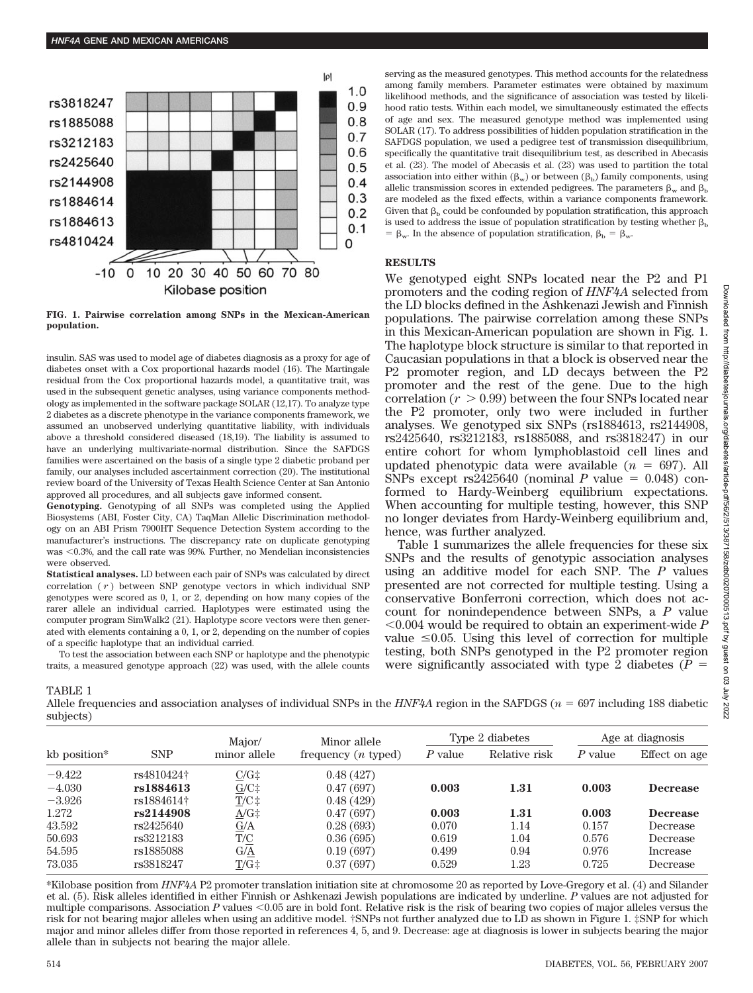

**FIG. 1. Pairwise correlation among SNPs in the Mexican-American population.**

insulin. SAS was used to model age of diabetes diagnosis as a proxy for age of diabetes onset with a Cox proportional hazards model (16). The Martingale residual from the Cox proportional hazards model, a quantitative trait, was used in the subsequent genetic analyses, using variance components methodology as implemented in the software package SOLAR (12,17). To analyze type 2 diabetes as a discrete phenotype in the variance components framework, we assumed an unobserved underlying quantitative liability, with individuals above a threshold considered diseased (18,19). The liability is assumed to have an underlying multivariate-normal distribution. Since the SAFDGS families were ascertained on the basis of a single type 2 diabetic proband per family, our analyses included ascertainment correction (20). The institutional review board of the University of Texas Health Science Center at San Antonio approved all procedures, and all subjects gave informed consent.

**Genotyping.** Genotyping of all SNPs was completed using the Applied Biosystems (ABI, Foster City, CA) TaqMan Allelic Discrimination methodology on an ABI Prism 7900HT Sequence Detection System according to the manufacturer's instructions. The discrepancy rate on duplicate genotyping was  $< 0.3$ %, and the call rate was 99%. Further, no Mendelian inconsistencies were observed.

**Statistical analyses.** LD between each pair of SNPs was calculated by direct correlation ( *r* ) between SNP genotype vectors in which individual SNP genotypes were scored as 0, 1, or 2, depending on how many copies of the rarer allele an individual carried. Haplotypes were estimated using the computer program SimWalk2 (21). Haplotype score vectors were then generated with elements containing a 0, 1, or 2, depending on the number of copies of a specific haplotype that an individual carried.

To test the association between each SNP or haplotype and the phenotypic traits, a measured genotype approach (22) was used, with the allele counts serving as the measured genotypes. This method accounts for the relatedness among family members. Parameter estimates were obtained by maximum likelihood methods, and the significance of association was tested by likelihood ratio tests. Within each model, we simultaneously estimated the effects of age and sex. The measured genotype method was implemented using SOLAR (17). To address possibilities of hidden population stratification in the SAFDGS population, we used a pedigree test of transmission disequilibrium, specifically the quantitative trait disequilibrium test, as described in Abecasis et al. (23). The model of Abecasis et al. (23) was used to partition the total association into either within  $(\beta_w)$  or between  $(\beta_b)$  family components, using allelic transmission scores in extended pedigrees. The parameters  $\beta_w$  and  $\beta_b$ are modeled as the fixed effects, within a variance components framework. Given that  $\beta_b$  could be confounded by population stratification, this approach is used to address the issue of population stratification by testing whether  $\beta_h$  $\beta_{w}$ . In the absence of population stratification,  $\beta_{b} = \beta_{w}$ .

#### **RESULTS**

We genotyped eight SNPs located near the P2 and P1 promoters and the coding region of *HNF4A* selected from the LD blocks defined in the Ashkenazi Jewish and Finnish populations. The pairwise correlation among these SNPs in this Mexican-American population are shown in Fig. 1. The haplotype block structure is similar to that reported in Caucasian populations in that a block is observed near the P2 promoter region, and LD decays between the P2 promoter and the rest of the gene. Due to the high correlation  $(r > 0.99)$  between the four SNPs located near the P2 promoter, only two were included in further analyses. We genotyped six SNPs (rs1884613, rs2144908, rs2425640, rs3212183, rs1885088, and rs3818247) in our entire cohort for whom lymphoblastoid cell lines and updated phenotypic data were available  $(n = 697)$ . All SNPs except rs2425640 (nominal *P* value  $= 0.048$ ) conformed to Hardy-Weinberg equilibrium expectations. When accounting for multiple testing, however, this SNP no longer deviates from Hardy-Weinberg equilibrium and, hence, was further analyzed.

Table 1 summarizes the allele frequencies for these six SNPs and the results of genotypic association analyses using an additive model for each SNP. The *P* values presented are not corrected for multiple testing. Using a conservative Bonferroni correction, which does not account for nonindependence between SNPs, a *P* value 0.004 would be required to obtain an experiment-wide *P* value  $\leq 0.05$ . Using this level of correction for multiple testing, both SNPs genotyped in the P2 promoter region were significantly associated with type 2 diabetes  $(P =$ 

TABLE 1

Allele frequencies and association analyses of individual SNPs in the *HNF4A* region in the SAFDGS (*n* 697 including 188 diabetic subjects)

| kb position* |            | Major/         | Minor allele          |           | Type 2 diabetes | Age at diagnosis |                 |
|--------------|------------|----------------|-----------------------|-----------|-----------------|------------------|-----------------|
|              | <b>SNP</b> | minor allele   | frequency $(n$ typed) | $P$ value | Relative risk   | $P$ value        | Effect on age   |
| $-9.422$     | rs4810424† | $C/G\ddagger$  | 0.48(427)             |           |                 |                  |                 |
| $-4.030$     | rs1884613  | $G/C\ddagger$  | 0.47(697)             | 0.003     | 1.31            | 0.003            | <b>Decrease</b> |
| $-3.926$     | rs1884614† | $T/C \ddagger$ | 0.48(429)             |           |                 |                  |                 |
| 1.272        | rs2144908  | $A/G\ddagger$  | 0.47(697)             | 0.003     | 1.31            | 0.003            | <b>Decrease</b> |
| 43.592       | rs2425640  | G/A            | 0.28(693)             | 0.070     | 1.14            | 0.157            | Decrease        |
| 50.693       | rs3212183  | T/C            | 0.36(695)             | 0.619     | 1.04            | 0.576            | Decrease        |
| 54.595       | rs1885088  | G/A            | 0.19(697)             | 0.499     | 0.94            | 0.976            | Increase        |
| 73.035       | rs3818247  | $T/G\ddagger$  | 0.37(697)             | 0.529     | 1.23            | 0.725            | Decrease        |

\*Kilobase position from *HNF4A* P2 promoter translation initiation site at chromosome 20 as reported by Love-Gregory et al. (4) and Silander et al. (5). Risk alleles identified in either Finnish or Ashkenazi Jewish populations are indicated by underline. *P* values are not adjusted for multiple comparisons. Association  $P$  values  $\leq 0.05$  are in bold font. Relative risk is the risk of bearing two copies of major alleles versus the risk for not bearing major alleles when using an additive model. †SNPs not further analyzed due to LD as shown in Figure 1. ‡SNP for which major and minor alleles differ from those reported in references 4, 5, and 9. Decrease: age at diagnosis is lower in subjects bearing the major allele than in subjects not bearing the major allele.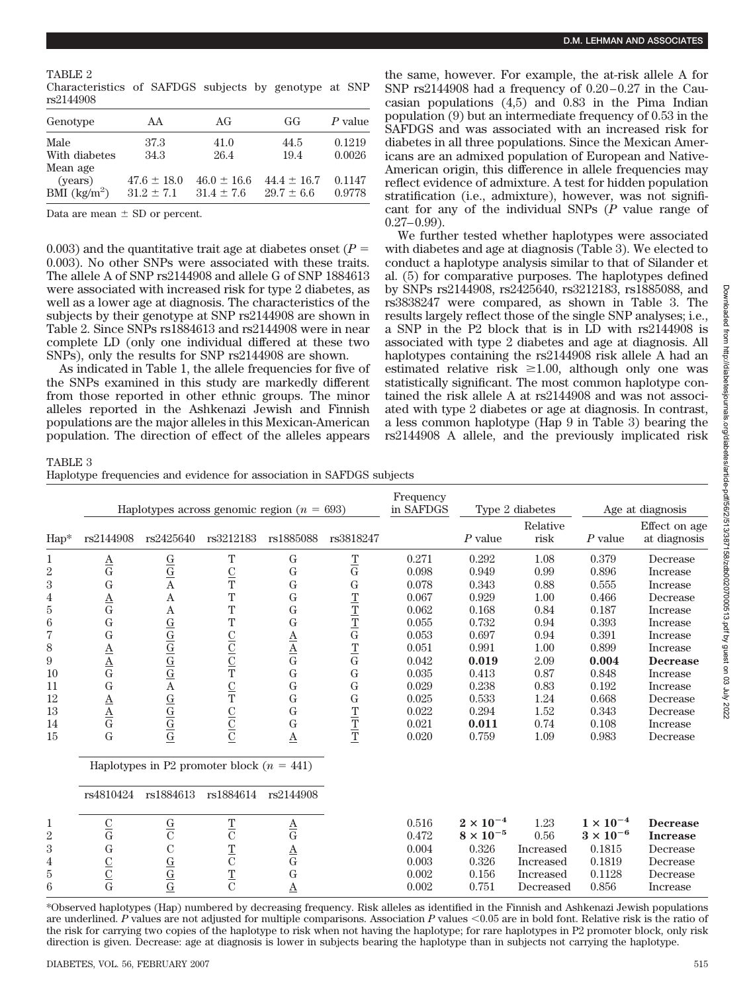Characteristics of SAFDGS subjects by genotype at SNP rs2144908

| Genotype                          | AA              | AG              | GG              | P value |
|-----------------------------------|-----------------|-----------------|-----------------|---------|
| Male                              | 37.3            | 41.0            | 44.5            | 0.1219  |
| With diabetes<br>Mean age         | 34.3            | 26.4            | 19.4            | 0.0026  |
| (years)                           | $47.6 \pm 18.0$ | $46.0 \pm 16.6$ | $44.4 \pm 16.7$ | 0.1147  |
| BMI $\left(\frac{kg}{m^2}\right)$ | $31.2 \pm 7.1$  | $31.4 \pm 7.6$  | $29.7 \pm 6.6$  | 0.9778  |

Data are mean  $\pm$  SD or percent.

0.003) and the quantitative trait age at diabetes onset  $(P =$ 0.003). No other SNPs were associated with these traits. The allele A of SNP rs2144908 and allele G of SNP 1884613 were associated with increased risk for type 2 diabetes, as well as a lower age at diagnosis. The characteristics of the subjects by their genotype at SNP rs2144908 are shown in Table 2. Since SNPs rs1884613 and rs2144908 were in near complete LD (only one individual differed at these two SNPs), only the results for SNP rs2144908 are shown.

As indicated in Table 1, the allele frequencies for five of the SNPs examined in this study are markedly different from those reported in other ethnic groups. The minor alleles reported in the Ashkenazi Jewish and Finnish populations are the major alleles in this Mexican-American population. The direction of effect of the alleles appears the same, however. For example, the at-risk allele A for SNP  $rs2144908$  had a frequency of  $0.20-0.27$  in the Caucasian populations (4,5) and 0.83 in the Pima Indian population (9) but an intermediate frequency of 0.53 in the SAFDGS and was associated with an increased risk for diabetes in all three populations. Since the Mexican Americans are an admixed population of European and Native-American origin, this difference in allele frequencies may reflect evidence of admixture. A test for hidden population stratification (i.e., admixture), however, was not significant for any of the individual SNPs (*P* value range of  $0.27 - 0.99$ ).

We further tested whether haplotypes were associated with diabetes and age at diagnosis (Table 3). We elected to conduct a haplotype analysis similar to that of Silander et al. (5) for comparative purposes. The haplotypes defined by SNPs rs2144908, rs2425640, rs3212183, rs1885088, and rs3838247 were compared, as shown in Table 3. The results largely reflect those of the single SNP analyses; i.e., a SNP in the P2 block that is in LD with rs2144908 is associated with type 2 diabetes and age at diagnosis. All haplotypes containing the rs2144908 risk allele A had an estimated relative risk  $\geq 1.00$ , although only one was statistically significant. The most common haplotype contained the risk allele A at rs2144908 and was not associated with type 2 diabetes or age at diagnosis. In contrast, a less common haplotype (Hap 9 in Table 3) bearing the rs2144908 A allele, and the previously implicated risk

#### TABLE 3

Haplotype frequencies and evidence for association in SAFDGS subjects

|                                                                                                                                                                 | Haplotypes across genomic region ( $n = 693$ )                                                                                                                                              |                                                                                                                                                                                                                                                |                                                                                                              |                                                                                                                                                                                                          |                                                                                                                                                    | Frequency<br>in SAFDGS                                                                                                              | Type 2 diabetes                                                                                                                     |                                                                                                                      | Age at diagnosis                                                                                                                    |                                                                                                                                                                                         |
|-----------------------------------------------------------------------------------------------------------------------------------------------------------------|---------------------------------------------------------------------------------------------------------------------------------------------------------------------------------------------|------------------------------------------------------------------------------------------------------------------------------------------------------------------------------------------------------------------------------------------------|--------------------------------------------------------------------------------------------------------------|----------------------------------------------------------------------------------------------------------------------------------------------------------------------------------------------------------|----------------------------------------------------------------------------------------------------------------------------------------------------|-------------------------------------------------------------------------------------------------------------------------------------|-------------------------------------------------------------------------------------------------------------------------------------|----------------------------------------------------------------------------------------------------------------------|-------------------------------------------------------------------------------------------------------------------------------------|-----------------------------------------------------------------------------------------------------------------------------------------------------------------------------------------|
| Hap*                                                                                                                                                            | rs2144908                                                                                                                                                                                   | rs2425640                                                                                                                                                                                                                                      | rs3212183                                                                                                    | rs1885088                                                                                                                                                                                                | rs3818247                                                                                                                                          |                                                                                                                                     | $P$ value                                                                                                                           | Relative<br>risk                                                                                                     | $P$ value                                                                                                                           | Effect on age<br>at diagnosis                                                                                                                                                           |
| $\mathbf{1}$<br>$\overline{2}$<br>$\overline{3}$<br>$\frac{4}{5}$<br>$\,6\,$<br>$\overline{7}$<br>8<br>$\boldsymbol{9}$<br>$10\,$<br>11<br>12<br>13<br>14<br>15 | $\frac{\mathbf{A}}{\mathbf{G}}$<br>G<br>$\frac{\mathbf{A}}{\mathbf{G}}$<br>G<br>$\mathbf G$<br>$\frac{\underline{A}}{\underline{A}}$<br>G<br>$\frac{\mathbf{A}}{\mathbf{A}}$<br>$\mathbf G$ | $\frac{\mathbf{G}}{\mathbf{G}}$<br>A<br>$\boldsymbol{\rm{A}}$<br>$\boldsymbol{\rm{A}}$<br>$\frac{\underline{G}}{\underline{G}} \frac{\underline{G}}{\underline{G}} \frac{\underline{G}}{\underline{G}}$<br>$\frac{\overline{G}}{\overline{G}}$ | Т<br>$\frac{C}{T}$<br>T<br>T<br>T<br>$rac{C}{C}$ $rac{C}{T}$<br>$\frac{C}{T}$<br>$\frac{\text{C}}{\text{C}}$ | G<br>G<br>G<br>$\mathbf G$<br>$\mathbf G$<br>$\mathbf G$<br>$\frac{\mathbf{A}}{\mathbf{A}}$<br>$\overline{G}$<br>$\mathbf G$<br>$\mathbf G$<br>$\overline{G}$<br>$\mathbf G$<br>$\underline{\mathbf{A}}$ | $\frac{\text{T}}{\text{G}}$<br>${\bf G}$<br>$\frac{T}{T}$ $\frac{T}{G}$<br>$\frac{T}{G}$<br>${\bf G}$<br>$\mathbf G$<br>${\bf G}$<br>$\frac{T}{T}$ | 0.271<br>0.098<br>0.078<br>0.067<br>0.062<br>0.055<br>0.053<br>0.051<br>0.042<br>0.035<br>0.029<br>0.025<br>0.022<br>0.021<br>0.020 | 0.292<br>0.949<br>0.343<br>0.929<br>0.168<br>0.732<br>0.697<br>0.991<br>0.019<br>0.413<br>0.238<br>0.533<br>0.294<br>0.011<br>0.759 | 1.08<br>0.99<br>0.88<br>1.00<br>0.84<br>0.94<br>0.94<br>1.00<br>2.09<br>0.87<br>0.83<br>1.24<br>1.52<br>0.74<br>1.09 | 0.379<br>0.896<br>0.555<br>0.466<br>0.187<br>0.393<br>0.391<br>0.899<br>0.004<br>0.848<br>0.192<br>0.668<br>0.343<br>0.108<br>0.983 | Decrease<br>Increase<br>Increase<br>Decrease<br>Increase<br>Increase<br>Increase<br>Increase<br><b>Decrease</b><br>Increase<br>Increase<br>Decrease<br>Decrease<br>Increase<br>Decrease |
|                                                                                                                                                                 |                                                                                                                                                                                             |                                                                                                                                                                                                                                                | Haplotypes in P2 promoter block $(n = 441)$                                                                  |                                                                                                                                                                                                          |                                                                                                                                                    |                                                                                                                                     |                                                                                                                                     |                                                                                                                      |                                                                                                                                     |                                                                                                                                                                                         |
|                                                                                                                                                                 | rs4810424                                                                                                                                                                                   | rs1884613                                                                                                                                                                                                                                      | rs1884614                                                                                                    | rs2144908                                                                                                                                                                                                |                                                                                                                                                    |                                                                                                                                     |                                                                                                                                     |                                                                                                                      |                                                                                                                                     |                                                                                                                                                                                         |
| $\mathbf{1}$<br>$\overline{2}$<br>$\overline{3}$<br>$\overline{4}$<br>$\rm 5$<br>$\,6$                                                                          | $\frac{\rm C}{\rm G}$<br>G<br>$\frac{\text{C}}{\text{G}}$                                                                                                                                   | $\frac{\mathrm{G}}{\mathrm{C}}$<br>$\mathbf C$<br>$\frac{\text{G}}{\text{G}}$                                                                                                                                                                  | $\frac{T}{C}$<br>$\frac{T}{C}$<br>$\frac{T}{C}$                                                              | $\frac{\mathbf{A}}{\mathbf{G}}$<br>$\frac{\mathbf{A}}{\mathbf{G}}$<br>$\mathbf G$<br>$\Delta$                                                                                                            |                                                                                                                                                    | 0.516<br>0.472<br>0.004<br>0.003<br>0.002<br>0.002                                                                                  | $2 \times 10^{-4}$<br>$8 \times 10^{-5}$<br>0.326<br>0.326<br>0.156<br>0.751                                                        | 1.23<br>0.56<br>Increased<br>Increased<br>Increased<br>Decreased                                                     | $1 \times 10^{-4}$<br>$3 \times 10^{-6}$<br>0.1815<br>0.1819<br>0.1128<br>0.856                                                     | <b>Decrease</b><br><b>Increase</b><br>Decrease<br>Decrease<br>Decrease<br>Increase                                                                                                      |

\*Observed haplotypes (Hap) numbered by decreasing frequency. Risk alleles as identified in the Finnish and Ashkenazi Jewish populations are underlined. P values are not adjusted for multiple comparisons. Association P values <0.05 are in bold font. Relative risk is the ratio of the risk for carrying two copies of the haplotype to risk when not having the haplotype; for rare haplotypes in P2 promoter block, only risk direction is given. Decrease: age at diagnosis is lower in subjects bearing the haplotype than in subjects not carrying the haplotype.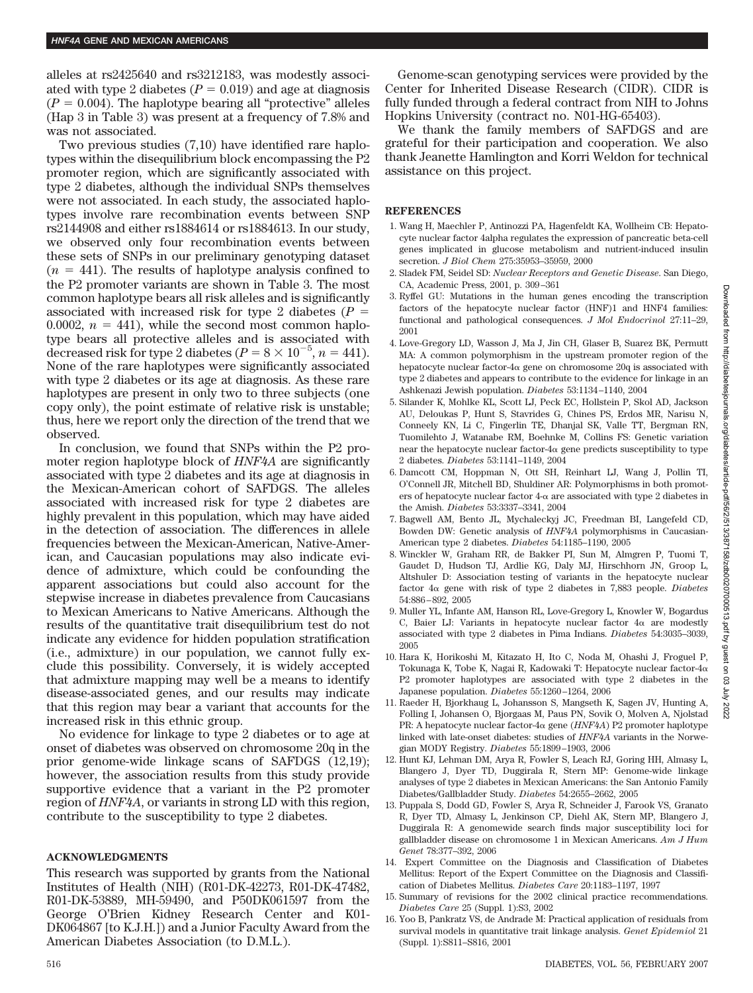alleles at rs2425640 and rs3212183, was modestly associated with type 2 diabetes  $(P = 0.019)$  and age at diagnosis  $(P = 0.004)$ . The haplotype bearing all "protective" alleles (Hap 3 in Table 3) was present at a frequency of 7.8% and was not associated.

Two previous studies (7,10) have identified rare haplotypes within the disequilibrium block encompassing the P2 promoter region, which are significantly associated with type 2 diabetes, although the individual SNPs themselves were not associated. In each study, the associated haplotypes involve rare recombination events between SNP rs2144908 and either rs1884614 or rs1884613. In our study, we observed only four recombination events between these sets of SNPs in our preliminary genotyping dataset  $(n = 441)$ . The results of haplotype analysis confined to the P2 promoter variants are shown in Table 3. The most common haplotype bears all risk alleles and is significantly associated with increased risk for type 2 diabetes (*P* 0.0002,  $n = 441$ ), while the second most common haplotype bears all protective alleles and is associated with decreased risk for type 2 diabetes ( $P = 8 \times 10^{-5}$ ,  $n = 441$ ). None of the rare haplotypes were significantly associated with type 2 diabetes or its age at diagnosis. As these rare haplotypes are present in only two to three subjects (one copy only), the point estimate of relative risk is unstable; thus, here we report only the direction of the trend that we observed.

In conclusion, we found that SNPs within the P2 promoter region haplotype block of *HNF4A* are significantly associated with type 2 diabetes and its age at diagnosis in the Mexican-American cohort of SAFDGS. The alleles associated with increased risk for type 2 diabetes are highly prevalent in this population, which may have aided in the detection of association. The differences in allele frequencies between the Mexican-American, Native-American, and Caucasian populations may also indicate evidence of admixture, which could be confounding the apparent associations but could also account for the stepwise increase in diabetes prevalence from Caucasians to Mexican Americans to Native Americans. Although the results of the quantitative trait disequilibrium test do not indicate any evidence for hidden population stratification (i.e., admixture) in our population, we cannot fully exclude this possibility. Conversely, it is widely accepted that admixture mapping may well be a means to identify disease-associated genes, and our results may indicate that this region may bear a variant that accounts for the increased risk in this ethnic group.

No evidence for linkage to type 2 diabetes or to age at onset of diabetes was observed on chromosome 20q in the prior genome-wide linkage scans of SAFDGS (12,19); however, the association results from this study provide supportive evidence that a variant in the P2 promoter region of *HNF4A*, or variants in strong LD with this region, contribute to the susceptibility to type 2 diabetes.

#### **ACKNOWLEDGMENTS**

This research was supported by grants from the National Institutes of Health (NIH) (R01-DK-42273, R01-DK-47482, R01-DK-53889, MH-59490, and P50DK061597 from the George O'Brien Kidney Research Center and K01- DK064867 [to K.J.H.]) and a Junior Faculty Award from the American Diabetes Association (to D.M.L.).

Genome-scan genotyping services were provided by the Center for Inherited Disease Research (CIDR). CIDR is fully funded through a federal contract from NIH to Johns Hopkins University (contract no. N01-HG-65403).

We thank the family members of SAFDGS and are grateful for their participation and cooperation. We also thank Jeanette Hamlington and Korri Weldon for technical assistance on this project.

#### **REFERENCES**

- 1. Wang H, Maechler P, Antinozzi PA, Hagenfeldt KA, Wollheim CB: Hepatocyte nuclear factor 4alpha regulates the expression of pancreatic beta-cell genes implicated in glucose metabolism and nutrient-induced insulin secretion. *J Biol Chem* 275:35953–35959, 2000
- 2. Sladek FM, Seidel SD: *Nuclear Receptors and Genetic Disease*. San Diego, CA, Academic Press, 2001, p. 309 –361
- 3. Ryffel GU: Mutations in the human genes encoding the transcription factors of the hepatocyte nuclear factor (HNF)1 and HNF4 families: functional and pathological consequences. *J Mol Endocrinol* 27:11–29, 2001
- 4. Love-Gregory LD, Wasson J, Ma J, Jin CH, Glaser B, Suarez BK, Permutt MA: A common polymorphism in the upstream promoter region of the hepatocyte nuclear factor- $4\alpha$  gene on chromosome  $20q$  is associated with type 2 diabetes and appears to contribute to the evidence for linkage in an Ashkenazi Jewish population. *Diabetes* 53:1134 –1140, 2004
- 5. Silander K, Mohlke KL, Scott LJ, Peck EC, Hollstein P, Skol AD, Jackson AU, Deloukas P, Hunt S, Stavrides G, Chines PS, Erdos MR, Narisu N, Conneely KN, Li C, Fingerlin TE, Dhanjal SK, Valle TT, Bergman RN, Tuomilehto J, Watanabe RM, Boehnke M, Collins FS: Genetic variation near the hepatocyte nuclear factor- $4\alpha$  gene predicts susceptibility to type 2 diabetes. *Diabetes* 53:1141–1149, 2004
- 6. Damcott CM, Hoppman N, Ott SH, Reinhart LJ, Wang J, Pollin TI, O'Connell JR, Mitchell BD, Shuldiner AR: Polymorphisms in both promoters of hepatocyte nuclear factor  $4-\alpha$  are associated with type 2 diabetes in the Amish. *Diabetes* 53:3337–3341, 2004
- 7. Bagwell AM, Bento JL, Mychaleckyj JC, Freedman BI, Langefeld CD, Bowden DW: Genetic analysis of *HNF4A* polymorphisms in Caucasian-American type 2 diabetes. *Diabetes* 54:1185–1190, 2005
- 8. Winckler W, Graham RR, de Bakker PI, Sun M, Almgren P, Tuomi T, Gaudet D, Hudson TJ, Ardlie KG, Daly MJ, Hirschhorn JN, Groop L, Altshuler D: Association testing of variants in the hepatocyte nuclear factor  $4\alpha$  gene with risk of type 2 diabetes in 7,883 people. *Diabetes* 54:886 – 892, 2005
- 9. Muller YL, Infante AM, Hanson RL, Love-Gregory L, Knowler W, Bogardus C, Baier LJ: Variants in hepatocyte nuclear factor  $4\alpha$  are modestly associated with type 2 diabetes in Pima Indians. *Diabetes* 54:3035–3039, 2005
- 10. Hara K, Horikoshi M, Kitazato H, Ito C, Noda M, Ohashi J, Froguel P, Tokunaga K, Tobe K, Nagai R, Kadowaki T: Hepatocyte nuclear factor- $4\alpha$ P2 promoter haplotypes are associated with type 2 diabetes in the Japanese population. *Diabetes* 55:1260 –1264, 2006
- 11. Raeder H, Bjorkhaug L, Johansson S, Mangseth K, Sagen JV, Hunting A, Folling I, Johansen O, Bjorgaas M, Paus PN, Sovik O, Molven A, Njolstad PR: A hepatocyte nuclear factor-4α gene (*HNF4A*) P2 promoter haplotype linked with late-onset diabetes: studies of *HNF4A* variants in the Norwegian MODY Registry. *Diabetes* 55:1899 –1903, 2006
- 12. Hunt KJ, Lehman DM, Arya R, Fowler S, Leach RJ, Goring HH, Almasy L, Blangero J, Dyer TD, Duggirala R, Stern MP: Genome-wide linkage analyses of type 2 diabetes in Mexican Americans: the San Antonio Family Diabetes/Gallbladder Study. *Diabetes* 54:2655–2662, 2005
- 13. Puppala S, Dodd GD, Fowler S, Arya R, Schneider J, Farook VS, Granato R, Dyer TD, Almasy L, Jenkinson CP, Diehl AK, Stern MP, Blangero J, Duggirala R: A genomewide search finds major susceptibility loci for gallbladder disease on chromosome 1 in Mexican Americans. *Am J Hum Genet* 78:377–392, 2006
- 14. Expert Committee on the Diagnosis and Classification of Diabetes Mellitus: Report of the Expert Committee on the Diagnosis and Classification of Diabetes Mellitus. *Diabetes Care* 20:1183–1197, 1997
- 15. Summary of revisions for the 2002 clinical practice recommendations. *Diabetes Care* 25 (Suppl. 1):S3, 2002
- 16. Yoo B, Pankratz VS, de Andrade M: Practical application of residuals from survival models in quantitative trait linkage analysis. *Genet Epidemiol* 21 (Suppl. 1):S811–S816, 2001